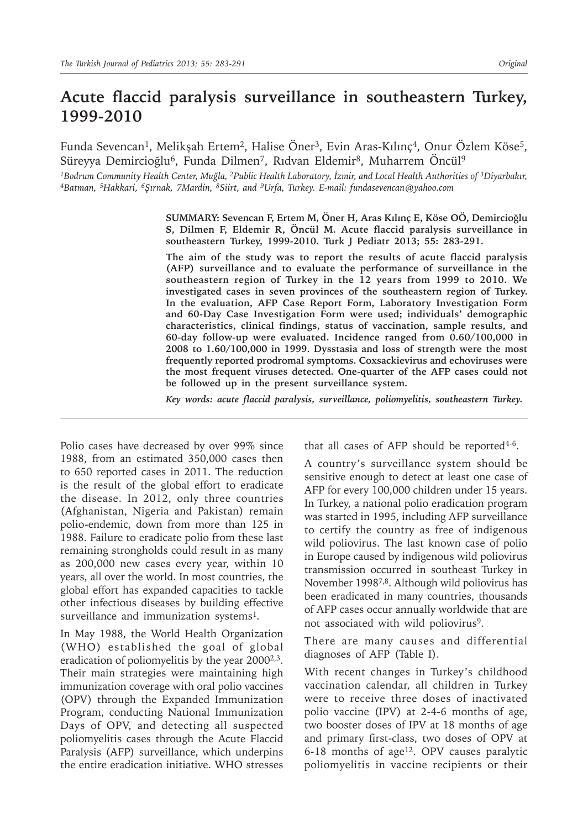# **Acute flaccid paralysis surveillance in southeastern Turkey, 1999-2010**

Funda Sevencan<sup>1</sup>, Melikşah Ertem<sup>2</sup>, Halise Öner<sup>3</sup>, Evin Aras-Kılınç<sup>4</sup>, Onur Özlem Köse<sup>5</sup>, Süreyya Demircioğlu<sup>6</sup>, Funda Dilmen<sup>7</sup>, Rıdvan Eldemir<sup>8</sup>, Muharrem Öncül<sup>9</sup>

*1Bodrum Community Health Center, Muğla, 2Public Health Laboratory, İzmir, and Local Health Authorities of 3Diyarbakır, 4Batman, 5Hakkari, <sup>6</sup>Şırnak, 7Mardin, <sup>8</sup>Siirt, and <sup>9</sup>Urfa, Turkey. E-mail: fundasevencan@yahoo.com*

> **SUMMARY: Sevencan F, Ertem M, Öner H, Aras Kılınç E, Köse OÖ, Demircioğlu S, Dilmen F, Eldemir R, Öncül M. Acute flaccid paralysis surveillance in southeastern Turkey, 1999-2010. Turk J Pediatr 2013; 55: 283-291.**

> **The aim of the study was to report the results of acute flaccid paralysis (AFP) surveillance and to evaluate the performance of surveillance in the southeastern region of Turkey in the 12 years from 1999 to 2010. We investigated cases in seven provinces of the southeastern region of Turkey. In the evaluation, AFP Case Report Form, Laboratory Investigation Form and 60-Day Case Investigation Form were used; individuals' demographic characteristics, clinical findings, status of vaccination, sample results, and 60-day follow-up were evaluated. Incidence ranged from 0.60/100,000 in 2008 to 1.60/100,000 in 1999. Dysstasia and loss of strength were the most frequently reported prodromal symptoms. Coxsackievirus and echoviruses were the most frequent viruses detected. One-quarter of the AFP cases could not be followed up in the present surveillance system.**

*Key words: acute flaccid paralysis, surveillance, poliomyelitis, southeastern Turkey.*

Polio cases have decreased by over 99% since 1988, from an estimated 350,000 cases then to 650 reported cases in 2011. The reduction is the result of the global effort to eradicate the disease. In 2012, only three countries (Afghanistan, Nigeria and Pakistan) remain polio-endemic, down from more than 125 in 1988. Failure to eradicate polio from these last remaining strongholds could result in as many as 200,000 new cases every year, within 10 years, all over the world. In most countries, the global effort has expanded capacities to tackle other infectious diseases by building effective surveillance and immunization systems<sup>1</sup>.

In May 1988, the World Health Organization (WHO) established the goal of global eradication of poliomyelitis by the year  $2000^{2,3}$ . Their main strategies were maintaining high immunization coverage with oral polio vaccines (OPV) through the Expanded Immunization Program, conducting National Immunization Days of OPV, and detecting all suspected poliomyelitis cases through the Acute Flaccid Paralysis (AFP) surveillance, which underpins the entire eradication initiative. WHO stresses

that all cases of AFP should be reported $4-6$ .

A country's surveillance system should be sensitive enough to detect at least one case of AFP for every 100,000 children under 15 years. In Turkey, a national polio eradication program was started in 1995, including AFP surveillance to certify the country as free of indigenous wild poliovirus. The last known case of polio in Europe caused by indigenous wild poliovirus transmission occurred in southeast Turkey in November 19987,8. Although wild poliovirus has been eradicated in many countries, thousands of AFP cases occur annually worldwide that are not associated with wild poliovirus9.

There are many causes and differential diagnoses of AFP (Table I).

With recent changes in Turkey's childhood vaccination calendar, all children in Turkey were to receive three doses of inactivated polio vaccine (IPV) at 2-4-6 months of age, two booster doses of IPV at 18 months of age and primary first-class, two doses of OPV at 6-18 months of age<sup>12</sup>. OPV causes paralytic poliomyelitis in vaccine recipients or their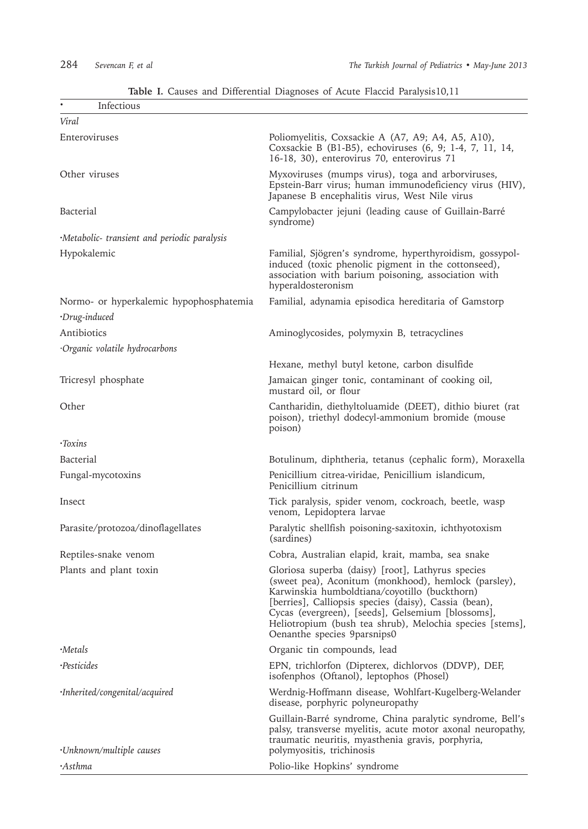| Infectious                                                      | <b>ROLUME</b> 1. Causes and Dinerential Diagnoses of Heater Flatence Family Short, FL                                                                                                                                                                                                                                                                               |
|-----------------------------------------------------------------|---------------------------------------------------------------------------------------------------------------------------------------------------------------------------------------------------------------------------------------------------------------------------------------------------------------------------------------------------------------------|
| Viral                                                           |                                                                                                                                                                                                                                                                                                                                                                     |
| Enteroviruses                                                   | Poliomyelitis, Coxsackie A (A7, A9; A4, A5, A10),<br>Coxsackie B (B1-B5), echoviruses (6, 9; 1-4, 7, 11, 14,<br>16-18, 30), enterovirus 70, enterovirus 71                                                                                                                                                                                                          |
| Other viruses                                                   | Myxoviruses (mumps virus), toga and arborviruses,<br>Epstein-Barr virus; human immunodeficiency virus (HIV),<br>Japanese B encephalitis virus, West Nile virus                                                                                                                                                                                                      |
| Bacterial                                                       | Campylobacter jejuni (leading cause of Guillain-Barré<br>syndrome)                                                                                                                                                                                                                                                                                                  |
| ·Metabolic- transient and periodic paralysis                    |                                                                                                                                                                                                                                                                                                                                                                     |
| Hypokalemic                                                     | Familial, Sjögren's syndrome, hyperthyroidism, gossypol-<br>induced (toxic phenolic pigment in the cottonseed),<br>association with barium poisoning, association with<br>hyperaldosteronism                                                                                                                                                                        |
| Normo- or hyperkalemic hypophosphatemia<br>$\cdot$ Drug-induced | Familial, adynamia episodica hereditaria of Gamstorp                                                                                                                                                                                                                                                                                                                |
| Antibiotics                                                     | Aminoglycosides, polymyxin B, tetracyclines                                                                                                                                                                                                                                                                                                                         |
| Organic volatile hydrocarbons                                   |                                                                                                                                                                                                                                                                                                                                                                     |
|                                                                 | Hexane, methyl butyl ketone, carbon disulfide                                                                                                                                                                                                                                                                                                                       |
| Tricresyl phosphate                                             | Jamaican ginger tonic, contaminant of cooking oil,<br>mustard oil, or flour                                                                                                                                                                                                                                                                                         |
| Other                                                           | Cantharidin, diethyltoluamide (DEET), dithio biuret (rat<br>poison), triethyl dodecyl-ammonium bromide (mouse<br>poison)                                                                                                                                                                                                                                            |
| $\cdot$ Toxins                                                  |                                                                                                                                                                                                                                                                                                                                                                     |
| Bacterial                                                       | Botulinum, diphtheria, tetanus (cephalic form), Moraxella                                                                                                                                                                                                                                                                                                           |
| Fungal-mycotoxins                                               | Penicillium citrea-viridae, Penicillium islandicum,<br>Penicillium citrinum                                                                                                                                                                                                                                                                                         |
| Insect                                                          | Tick paralysis, spider venom, cockroach, beetle, wasp<br>venom, Lepidoptera larvae                                                                                                                                                                                                                                                                                  |
| Parasite/protozoa/dinoflagellates                               | Paralytic shellfish poisoning-saxitoxin, ichthyotoxism<br>(sardines)                                                                                                                                                                                                                                                                                                |
| Reptiles-snake venom                                            | Cobra, Australian elapid, krait, mamba, sea snake                                                                                                                                                                                                                                                                                                                   |
| Plants and plant toxin                                          | Gloriosa superba (daisy) [root], Lathyrus species<br>(sweet pea), Aconitum (monkhood), hemlock (parsley),<br>Karwinskia humboldtiana/coyotillo (buckthorn)<br>[berries], Calliopsis species (daisy), Cassia (bean),<br>Cycas (evergreen), [seeds], Gelsemium [blossoms],<br>Heliotropium (bush tea shrub), Melochia species [stems],<br>Oenanthe species 9parsnips0 |
| ·Metals                                                         | Organic tin compounds, lead                                                                                                                                                                                                                                                                                                                                         |
| ·Pesticides                                                     | EPN, trichlorfon (Dipterex, dichlorvos (DDVP), DEF,<br>isofenphos (Oftanol), leptophos (Phosel)                                                                                                                                                                                                                                                                     |
| ·Inherited/congenital/acquired                                  | Werdnig-Hoffmann disease, Wohlfart-Kugelberg-Welander<br>disease, porphyric polyneuropathy                                                                                                                                                                                                                                                                          |
| ·Unknown/multiple causes                                        | Guillain-Barré syndrome, China paralytic syndrome, Bell's<br>palsy, transverse myelitis, acute motor axonal neuropathy,<br>traumatic neuritis, myasthenia gravis, porphyria,<br>polymyositis, trichinosis                                                                                                                                                           |
| •Asthma                                                         | Polio-like Hopkins' syndrome                                                                                                                                                                                                                                                                                                                                        |

## **Table I.** Causes and Differential Diagnoses of Acute Flaccid Paralysis10,11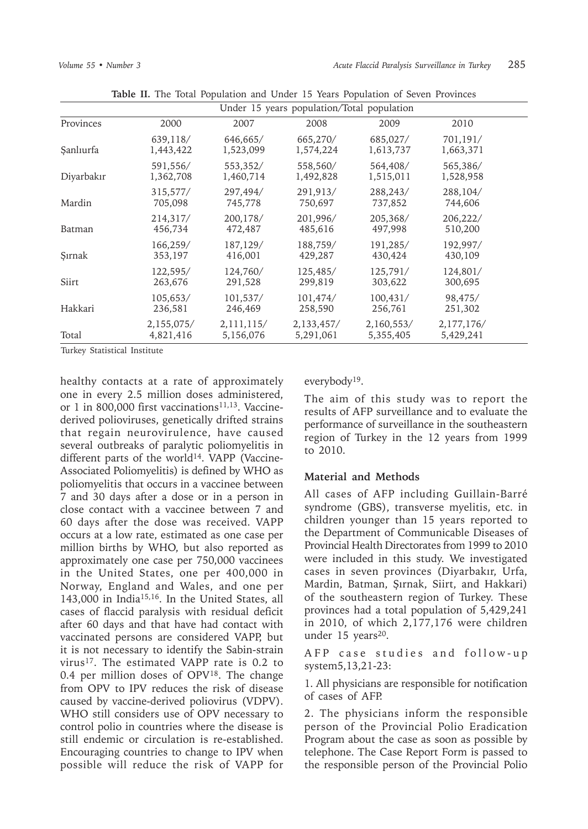| Under 15 years population/Total population |                         |                         |                         |                         |                         |  |
|--------------------------------------------|-------------------------|-------------------------|-------------------------|-------------------------|-------------------------|--|
| Provinces                                  | 2000                    | 2007                    | 2008                    | 2009                    | 2010                    |  |
| Şanlıurfa                                  | 639,118/<br>1,443,422   | 646,665/<br>1,523,099   | 665,270/<br>1,574,224   | 685,027/<br>1,613,737   | 701,191/<br>1,663,371   |  |
| Diyarbakır                                 | 591,556/<br>1,362,708   | 553,352/<br>1,460,714   | 558,560/<br>1,492,828   | 564,408/<br>1,515,011   | 565,386/<br>1,528,958   |  |
| Mardin                                     | 315,577/<br>705,098     | 297,494/<br>745,778     | 291,913/<br>750,697     | 288,243/<br>737,852     | 288,104/<br>744,606     |  |
| Batman                                     | 214,317/<br>456,734     | 200.178/<br>472,487     | 201,996/<br>485,616     | 205,368/<br>497,998     | 206,222/<br>510,200     |  |
| Sırnak                                     | 166,259/<br>353,197     | 187,129/<br>416,001     | 188,759/<br>429,287     | 191,285/<br>430,424     | 192,997/<br>430,109     |  |
| Siirt                                      | 122,595/<br>263,676     | 124,760/<br>291,528     | 125,485/<br>299,819     | 125,791/<br>303,622     | 124,801/<br>300,695     |  |
| Hakkari                                    | 105,653/<br>236,581     | 101,537/<br>246,469     | 101,474/<br>258,590     | 100,431/<br>256,761     | 98,475/<br>251,302      |  |
| Total                                      | 2,155,075/<br>4,821,416 | 2,111,115/<br>5,156,076 | 2,133,457/<br>5,291,061 | 2,160,553/<br>5,355,405 | 2,177,176/<br>5,429,241 |  |

**Table II.** The Total Population and Under 15 Years Population of Seven Provinces

Turkey Statistical Institute

healthy contacts at a rate of approximately one in every 2.5 million doses administered, or 1 in 800,000 first vaccinations<sup>11,13</sup>. Vaccinederived polioviruses, genetically drifted strains that regain neurovirulence, have caused several outbreaks of paralytic poliomyelitis in different parts of the world<sup>14</sup>. VAPP (Vaccine-Associated Poliomyelitis) is defined by WHO as poliomyelitis that occurs in a vaccinee between 7 and 30 days after a dose or in a person in close contact with a vaccinee between 7 and 60 days after the dose was received. VAPP occurs at a low rate, estimated as one case per million births by WHO, but also reported as approximately one case per 750,000 vaccinees in the United States, one per 400,000 in Norway, England and Wales, and one per 143,000 in India15,16. In the United States, all cases of flaccid paralysis with residual deficit after 60 days and that have had contact with vaccinated persons are considered VAPP, but it is not necessary to identify the Sabin-strain virus<sup>17</sup>. The estimated VAPP rate is 0.2 to 0.4 per million doses of  $OPV<sup>18</sup>$ . The change from OPV to IPV reduces the risk of disease caused by vaccine-derived poliovirus (VDPV). WHO still considers use of OPV necessary to control polio in countries where the disease is still endemic or circulation is re-established. Encouraging countries to change to IPV when possible will reduce the risk of VAPP for

everybody19.

The aim of this study was to report the results of AFP surveillance and to evaluate the performance of surveillance in the southeastern region of Turkey in the 12 years from 1999 to 2010.

### **Material and Methods**

All cases of AFP including Guillain-Barré syndrome (GBS), transverse myelitis, etc. in children younger than 15 years reported to the Department of Communicable Diseases of Provincial Health Directorates from 1999 to 2010 were included in this study. We investigated cases in seven provinces (Diyarbakır, Urfa, Mardin, Batman, Şırnak, Siirt, and Hakkari) of the southeastern region of Turkey. These provinces had a total population of 5,429,241 in 2010, of which 2,177,176 were children under 15 years<sup>20</sup>.

AFP case studies and follow-up system5,13,21-23:

1. All physicians are responsible for notification of cases of AFP.

2. The physicians inform the responsible person of the Provincial Polio Eradication Program about the case as soon as possible by telephone. The Case Report Form is passed to the responsible person of the Provincial Polio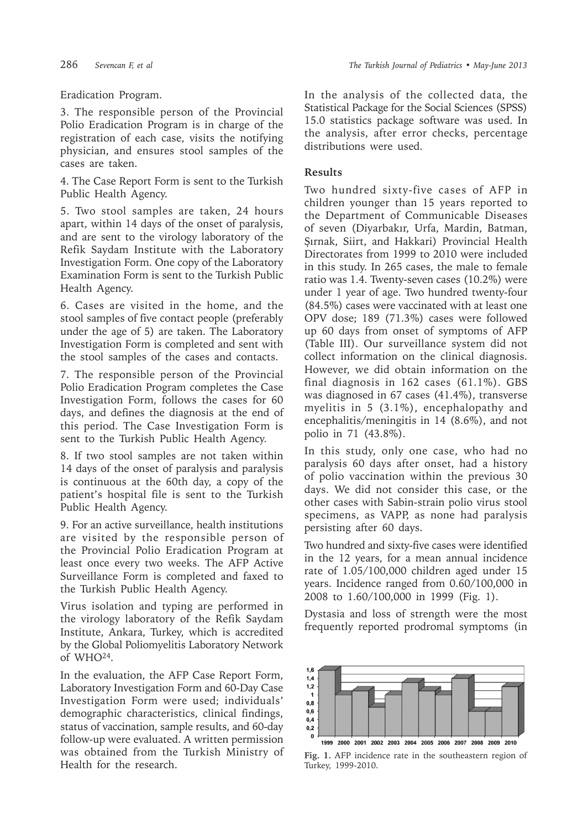# Eradication Program.

3. The responsible person of the Provincial Polio Eradication Program is in charge of the registration of each case, visits the notifying physician, and ensures stool samples of the cases are taken.

4. The Case Report Form is sent to the Turkish Public Health Agency.

5. Two stool samples are taken, 24 hours apart, within 14 days of the onset of paralysis, and are sent to the virology laboratory of the Refik Saydam Institute with the Laboratory Investigation Form. One copy of the Laboratory Examination Form is sent to the Turkish Public Health Agency.

6. Cases are visited in the home, and the stool samples of five contact people (preferably under the age of 5) are taken. The Laboratory Investigation Form is completed and sent with the stool samples of the cases and contacts.

7. The responsible person of the Provincial Polio Eradication Program completes the Case Investigation Form, follows the cases for 60 days, and defines the diagnosis at the end of this period. The Case Investigation Form is sent to the Turkish Public Health Agency.

8. If two stool samples are not taken within 14 days of the onset of paralysis and paralysis is continuous at the 60th day, a copy of the patient's hospital file is sent to the Turkish Public Health Agency.

9. For an active surveillance, health institutions are visited by the responsible person of the Provincial Polio Eradication Program at least once every two weeks. The AFP Active Surveillance Form is completed and faxed to the Turkish Public Health Agency.

Virus isolation and typing are performed in the virology laboratory of the Refik Saydam Institute, Ankara, Turkey, which is accredited by the Global Poliomyelitis Laboratory Network of WHO24.

In the evaluation, the AFP Case Report Form, Laboratory Investigation Form and 60-Day Case Investigation Form were used; individuals' demographic characteristics, clinical findings, status of vaccination, sample results, and 60-day follow-up were evaluated. A written permission was obtained from the Turkish Ministry of Health for the research.

In the analysis of the collected data, the Statistical Package for the Social Sciences (SPSS) 15.0 statistics package software was used. In the analysis, after error checks, percentage distributions were used.

# **Results**

Two hundred sixty-five cases of AFP in children younger than 15 years reported to the Department of Communicable Diseases of seven (Diyarbakır, Urfa, Mardin, Batman, Şırnak, Siirt, and Hakkari) Provincial Health Directorates from 1999 to 2010 were included in this study. In 265 cases, the male to female ratio was 1.4. Twenty-seven cases (10.2%) were under 1 year of age. Two hundred twenty-four (84.5%) cases were vaccinated with at least one OPV dose; 189 (71.3%) cases were followed up 60 days from onset of symptoms of AFP (Table III). Our surveillance system did not collect information on the clinical diagnosis. However, we did obtain information on the final diagnosis in 162 cases (61.1%). GBS was diagnosed in 67 cases (41.4%), transverse myelitis in 5 (3.1%), encephalopathy and encephalitis/meningitis in 14 (8.6%), and not polio in 71 (43.8%).

In this study, only one case, who had no paralysis 60 days after onset, had a history of polio vaccination within the previous 30 days. We did not consider this case, or the other cases with Sabin-strain polio virus stool specimens, as VAPP, as none had paralysis persisting after 60 days.

Two hundred and sixty-five cases were identified in the 12 years, for a mean annual incidence rate of 1.05/100,000 children aged under 15 years. Incidence ranged from 0.60/100,000 in 2008 to 1.60/100,000 in 1999 (Fig. 1).

Dystasia and loss of strength were the most frequently reported prodromal symptoms (in



**Fig. 1.** AFP incidence rate in the southeastern region of Turkey, 1999-2010.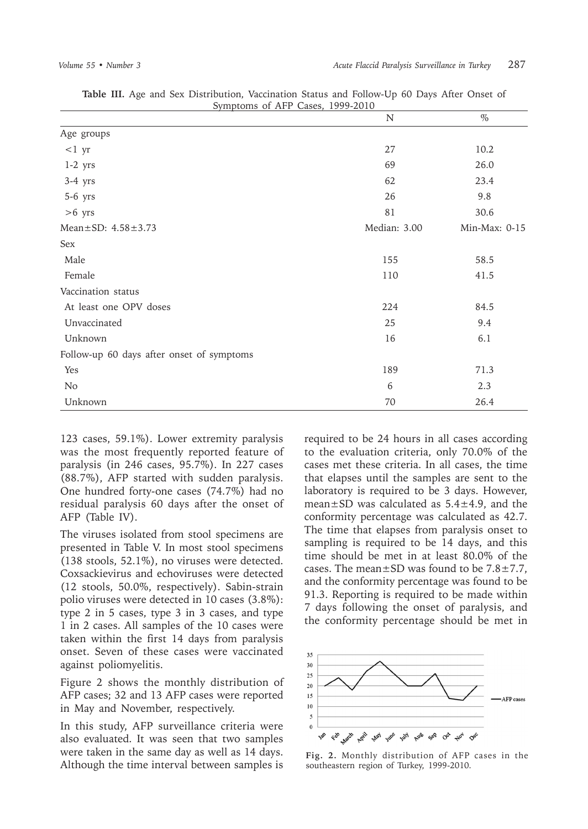| Symptoms of AFP Cases, 1999-2010          | N            | $\%$          |
|-------------------------------------------|--------------|---------------|
| Age groups                                |              |               |
| $<1$ yr                                   | 27           | 10.2          |
| $1-2$ yrs                                 | 69           | 26.0          |
| $3-4$ yrs                                 | 62           | 23.4          |
| 5-6 yrs                                   | 26           | 9.8           |
| $>6$ yrs                                  | 81           | 30.6          |
| Mean±SD: 4.58±3.73                        | Median: 3.00 | Min-Max: 0-15 |
| Sex                                       |              |               |
| Male                                      | 155          | 58.5          |
| Female                                    | 110          | 41.5          |
| Vaccination status                        |              |               |
| At least one OPV doses                    | 224          | 84.5          |
| Unvaccinated                              | 25           | 9.4           |
| Unknown                                   | 16           | 6.1           |
| Follow-up 60 days after onset of symptoms |              |               |
| Yes                                       | 189          | 71.3          |
| N <sub>o</sub>                            | 6            | 2.3           |
| Unknown                                   | 70           | 26.4          |

**Table III.** Age and Sex Distribution, Vaccination Status and Follow-Up 60 Days After Onset of

123 cases, 59.1%). Lower extremity paralysis was the most frequently reported feature of paralysis (in 246 cases, 95.7%). In 227 cases (88.7%), AFP started with sudden paralysis. One hundred forty-one cases (74.7%) had no residual paralysis 60 days after the onset of AFP (Table IV).

The viruses isolated from stool specimens are presented in Table V. In most stool specimens (138 stools, 52.1%), no viruses were detected. Coxsackievirus and echoviruses were detected (12 stools, 50.0%, respectively). Sabin-strain polio viruses were detected in 10 cases (3.8%): type 2 in 5 cases, type 3 in 3 cases, and type 1 in 2 cases. All samples of the 10 cases were taken within the first 14 days from paralysis onset. Seven of these cases were vaccinated against poliomyelitis.

Figure 2 shows the monthly distribution of AFP cases; 32 and 13 AFP cases were reported in May and November, respectively.

In this study, AFP surveillance criteria were also evaluated. It was seen that two samples were taken in the same day as well as 14 days. Although the time interval between samples is

required to be 24 hours in all cases according to the evaluation criteria, only 70.0% of the cases met these criteria. In all cases, the time that elapses until the samples are sent to the laboratory is required to be 3 days. However, mean±SD was calculated as 5.4±4.9, and the conformity percentage was calculated as 42.7. The time that elapses from paralysis onset to sampling is required to be 14 days, and this time should be met in at least 80.0% of the cases. The mean $\pm$ SD was found to be 7.8 $\pm$ 7.7, and the conformity percentage was found to be 91.3. Reporting is required to be made within 7 days following the onset of paralysis, and the conformity percentage should be met in



**Fig. 2.** Monthly distribution of AFP cases in the southeastern region of Turkey, 1999-2010.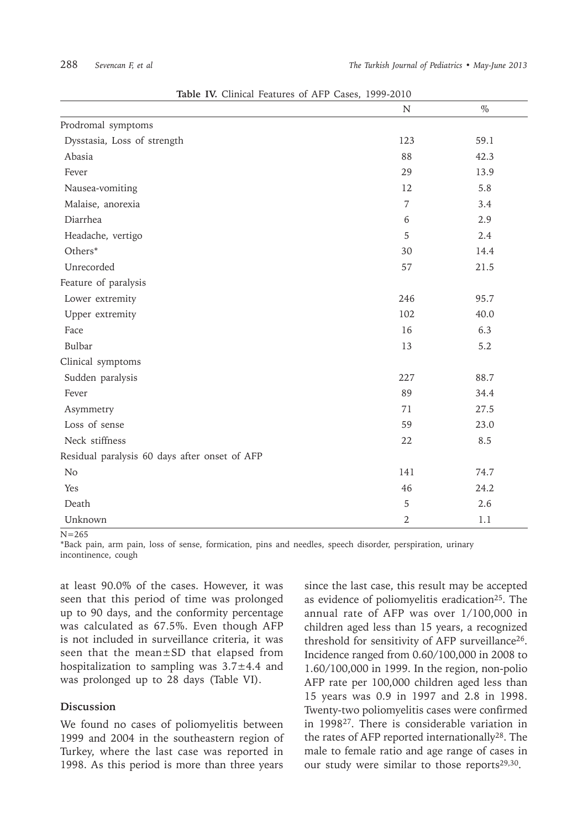| <b>Table IV.</b> Chilled Peatures of APT Cases, 1999-2010 |                |      |
|-----------------------------------------------------------|----------------|------|
|                                                           | N              | $\%$ |
| Prodromal symptoms                                        |                |      |
| Dysstasia, Loss of strength                               | 123            | 59.1 |
| Abasia                                                    | 88             | 42.3 |
| Fever                                                     | 29             | 13.9 |
| Nausea-vomiting                                           | 12             | 5.8  |
| Malaise, anorexia                                         | $\overline{7}$ | 3.4  |
| Diarrhea                                                  | 6              | 2.9  |
| Headache, vertigo                                         | 5              | 2.4  |
| Others*                                                   | 30             | 14.4 |
| Unrecorded                                                | 57             | 21.5 |
| Feature of paralysis                                      |                |      |
| Lower extremity                                           | 246            | 95.7 |
| Upper extremity                                           | 102            | 40.0 |
| Face                                                      | 16             | 6.3  |
| Bulbar                                                    | 13             | 5.2  |
| Clinical symptoms                                         |                |      |
| Sudden paralysis                                          | 227            | 88.7 |
| Fever                                                     | 89             | 34.4 |
| Asymmetry                                                 | 71             | 27.5 |
| Loss of sense                                             | 59             | 23.0 |
| Neck stiffness                                            | 22             | 8.5  |
| Residual paralysis 60 days after onset of AFP             |                |      |
| N <sub>o</sub>                                            | 141            | 74.7 |
| Yes                                                       | 46             | 24.2 |
| Death                                                     | 5              | 2.6  |
| Unknown                                                   | $\overline{2}$ | 1.1  |

**Table IV.** Clinical Features of AFP Cases, 1999-2010

 $N = 265$ 

\*Back pain, arm pain, loss of sense, formication, pins and needles, speech disorder, perspiration, urinary incontinence, cough

at least 90.0% of the cases. However, it was seen that this period of time was prolonged up to 90 days, and the conformity percentage was calculated as 67.5%. Even though AFP is not included in surveillance criteria, it was seen that the mean±SD that elapsed from hospitalization to sampling was  $3.7 \pm 4.4$  and was prolonged up to 28 days (Table VI).

#### **Discussion**

We found no cases of poliomyelitis between 1999 and 2004 in the southeastern region of Turkey, where the last case was reported in 1998. As this period is more than three years

since the last case, this result may be accepted as evidence of poliomyelitis eradication<sup>25</sup>. The annual rate of AFP was over 1/100,000 in children aged less than 15 years, a recognized threshold for sensitivity of AFP surveillance26. Incidence ranged from 0.60/100,000 in 2008 to 1.60/100,000 in 1999. In the region, non-polio AFP rate per 100,000 children aged less than 15 years was 0.9 in 1997 and 2.8 in 1998. Twenty-two poliomyelitis cases were confirmed in 199827. There is considerable variation in the rates of AFP reported internationally<sup>28</sup>. The male to female ratio and age range of cases in our study were similar to those reports<sup>29,30</sup>.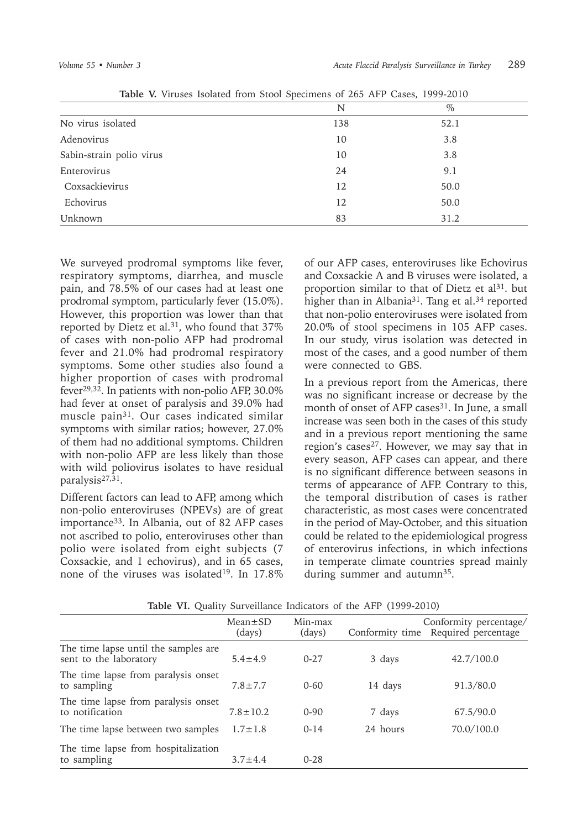| $10000$ is there is shown from stock specificate of 200 that sensely field 2010 |     |      |  |
|---------------------------------------------------------------------------------|-----|------|--|
|                                                                                 | N   | $\%$ |  |
| No virus isolated                                                               | 138 | 52.1 |  |
| Adenovirus                                                                      | 10  | 3.8  |  |
| Sabin-strain polio virus                                                        | 10  | 3.8  |  |
| Enterovirus                                                                     | 24  | 9.1  |  |
| Coxsackievirus                                                                  | 12  | 50.0 |  |
| Echovirus                                                                       | 12  | 50.0 |  |
| Unknown                                                                         | 83  | 31.2 |  |

**Table V.** Viruses Isolated from Stool Specimens of 265 AFP Cases, 1999-2010

We surveyed prodromal symptoms like fever, respiratory symptoms, diarrhea, and muscle pain, and 78.5% of our cases had at least one prodromal symptom, particularly fever (15.0%). However, this proportion was lower than that reported by Dietz et al.<sup>31</sup>, who found that 37% of cases with non-polio AFP had prodromal fever and 21.0% had prodromal respiratory symptoms. Some other studies also found a higher proportion of cases with prodromal fever29,32. In patients with non-polio AFP, 30.0% had fever at onset of paralysis and 39.0% had muscle pain31. Our cases indicated similar symptoms with similar ratios; however, 27.0% of them had no additional symptoms. Children with non-polio AFP are less likely than those with wild poliovirus isolates to have residual paralysis27,31.

Different factors can lead to AFP, among which non-polio enteroviruses (NPEVs) are of great importance<sup>33</sup>. In Albania, out of 82 AFP cases not ascribed to polio, enteroviruses other than polio were isolated from eight subjects (7 Coxsackie, and 1 echovirus), and in 65 cases, none of the viruses was isolated<sup>19</sup>. In  $17.8\%$ 

of our AFP cases, enteroviruses like Echovirus and Coxsackie A and B viruses were isolated, a proportion similar to that of Dietz et al<sup>31</sup>. but higher than in Albania<sup>31</sup>. Tang et al.<sup>34</sup> reported that non-polio enteroviruses were isolated from 20.0% of stool specimens in 105 AFP cases. In our study, virus isolation was detected in most of the cases, and a good number of them were connected to GBS.

In a previous report from the Americas, there was no significant increase or decrease by the month of onset of AFP cases<sup>31</sup>. In June, a small increase was seen both in the cases of this study and in a previous report mentioning the same region's cases<sup>27</sup>. However, we may say that in every season, AFP cases can appear, and there is no significant difference between seasons in terms of appearance of AFP. Contrary to this, the temporal distribution of cases is rather characteristic, as most cases were concentrated in the period of May-October, and this situation could be related to the epidemiological progress of enterovirus infections, in which infections in temperate climate countries spread mainly during summer and autumn<sup>35</sup>.

|                                                                | $Mean \pm SD$<br>(days) | Min-max<br>(days) |          | Conformity percentage/<br>Conformity time Required percentage |
|----------------------------------------------------------------|-------------------------|-------------------|----------|---------------------------------------------------------------|
| The time lapse until the samples are<br>sent to the laboratory | $5.4 \pm 4.9$           | $0 - 2.7$         | 3 days   | 42.7/100.0                                                    |
| The time lapse from paralysis onset<br>to sampling             | $7.8 \pm 7.7$           | $0 - 60$          | 14 days  | 91.3/80.0                                                     |
| The time lapse from paralysis onset<br>to notification         | $7.8 \pm 10.2$          | $0 - 90$          | 7 days   | 67.5/90.0                                                     |
| The time lapse between two samples                             | $1.7 \pm 1.8$           | $0 - 14$          | 24 hours | 70.0/100.0                                                    |
| The time lapse from hospitalization<br>to sampling             | $3.7 + 4.4$             | $0 - 2.8$         |          |                                                               |

**Table VI.** Quality Surveillance Indicators of the AFP (1999-2010)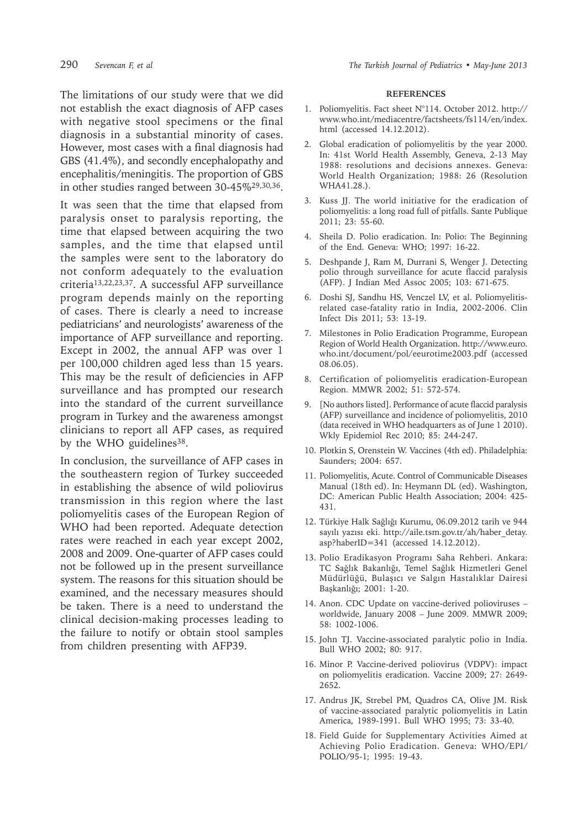290 *Sevencan F, et al The Turkish Journal of Pediatrics • May-June 2013*

The limitations of our study were that we did not establish the exact diagnosis of AFP cases with negative stool specimens or the final diagnosis in a substantial minority of cases. However, most cases with a final diagnosis had GBS (41.4%), and secondly encephalopathy and encephalitis/meningitis. The proportion of GBS in other studies ranged between 30-45%29,30,36.

It was seen that the time that elapsed from paralysis onset to paralysis reporting, the time that elapsed between acquiring the two samples, and the time that elapsed until the samples were sent to the laboratory do not conform adequately to the evaluation criteria13,22,23,37. A successful AFP surveillance program depends mainly on the reporting of cases. There is clearly a need to increase pediatricians' and neurologists' awareness of the importance of AFP surveillance and reporting. Except in 2002, the annual AFP was over 1 per 100,000 children aged less than 15 years. This may be the result of deficiencies in AFP surveillance and has prompted our research into the standard of the current surveillance program in Turkey and the awareness amongst clinicians to report all AFP cases, as required by the WHO guidelines<sup>38</sup>.

In conclusion, the surveillance of AFP cases in the southeastern region of Turkey succeeded in establishing the absence of wild poliovirus transmission in this region where the last poliomyelitis cases of the European Region of WHO had been reported. Adequate detection rates were reached in each year except 2002, 2008 and 2009. One-quarter of AFP cases could not be followed up in the present surveillance system. The reasons for this situation should be examined, and the necessary measures should be taken. There is a need to understand the clinical decision-making processes leading to the failure to notify or obtain stool samples from children presenting with AFP39.

#### **REFERENCES**

- 1. Poliomyelitis. Fact sheet N°114. October 2012. http:// www.who.int/mediacentre/factsheets/fs114/en/index. html (accessed 14.12.2012).
- 2. Global eradication of poliomyelitis by the year 2000. In: 41st World Health Assembly, Geneva, 2-13 May 1988: resolutions and decisions annexes. Geneva: World Health Organization; 1988: 26 (Resolution WHA41.28.).
- 3. Kuss JJ. The world initiative for the eradication of poliomyelitis: a long road full of pitfalls. Sante Publique 2011; 23: 55-60.
- 4. Sheila D. Polio eradication. In: Polio: The Beginning of the End. Geneva: WHO; 1997: 16-22.
- 5. Deshpande J, Ram M, Durrani S, Wenger J. Detecting polio through surveillance for acute flaccid paralysis (AFP). J Indian Med Assoc 2005; 103: 671-675.
- 6. Doshi SJ, Sandhu HS, Venczel LV, et al. Poliomyelitisrelated case-fatality ratio in India, 2002-2006. Clin Infect Dis 2011; 53: 13-19.
- 7. Milestones in Polio Eradication Programme, European Region of World Health Organization. http://www.euro. who.int/document/pol/eeurotime2003.pdf (accessed 08.06.05).
- 8. Certification of poliomyelitis eradication-European Region. MMWR 2002; 51: 572-574.
- 9. [No authors listed]. Performance of acute flaccid paralysis (AFP) surveillance and incidence of poliomyelitis, 2010 (data received in WHO headquarters as of June 1 2010). Wkly Epidemiol Rec 2010; 85: 244-247.
- 10. Plotkin S, Orenstein W. Vaccines (4th ed). Philadelphia: Saunders; 2004: 657.
- 11. Poliomyelitis, Acute. Control of Communicable Diseases Manual (18th ed). In: Heymann DL (ed). Washington, DC: American Public Health Association; 2004: 425- 431.
- 12. Türkiye Halk Sağlığı Kurumu, 06.09.2012 tarih ve 944 sayılı yazısı eki. http://aile.tsm.gov.tr/ah/haber\_detay. asp?haberID=341 (accessed 14.12.2012).
- 13. Polio Eradikasyon Programı Saha Rehberi. Ankara: TC Sağlık Bakanlığı, Temel Sağlık Hizmetleri Genel Müdürlüğü, Bulaşıcı ve Salgın Hastalıklar Dairesi Başkanlığı; 2001: 1-20.
- 14. Anon. CDC Update on vaccine-derived polioviruses worldwide, January 2008 – June 2009. MMWR 2009; 58: 1002-1006.
- 15. John TJ. Vaccine-associated paralytic polio in India. Bull WHO 2002; 80: 917.
- 16. Minor P. Vaccine-derived poliovirus (VDPV): impact on poliomyelitis eradication. Vaccine 2009; 27: 2649- 2652.
- 17. Andrus JK, Strebel PM, Quadros CA, Olive JM. Risk of vaccine-associated paralytic poliomyelitis in Latin America, 1989-1991. Bull WHO 1995; 73: 33-40.
- 18. Field Guide for Supplementary Activities Aimed at Achieving Polio Eradication. Geneva: WHO/EPI/ POLIO/95-1; 1995: 19-43.